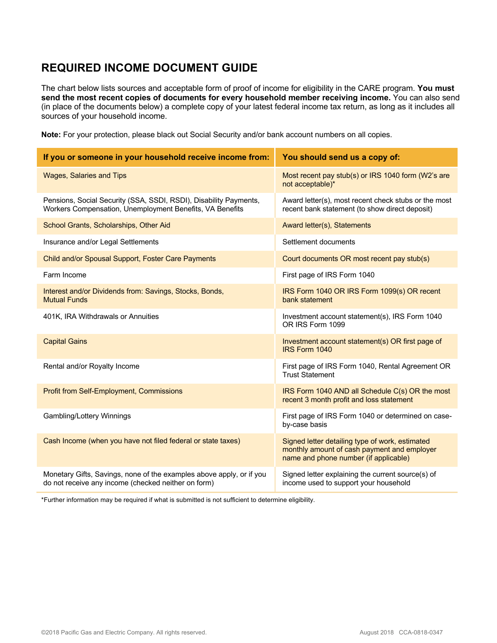## **REQUIRED INCOME DOCUMENT GUIDE**

 The chart below lists sources and acceptable form of proof of income for eligibility in the CARE program. **You must send the most recent copies of documents for every household member receiving income.** You can also send sources of your household income. (in place of the documents below) a complete copy of your latest federal income tax return, as long as it includes all

**Note:** For your protection, please black out Social Security and/or bank account numbers on all copies.

| If you or someone in your household receive income from:                                                                      | You should send us a copy of:                                                                                                           |
|-------------------------------------------------------------------------------------------------------------------------------|-----------------------------------------------------------------------------------------------------------------------------------------|
| <b>Wages, Salaries and Tips</b>                                                                                               | Most recent pay stub(s) or IRS 1040 form (W2's are<br>not acceptable)*                                                                  |
| Pensions, Social Security (SSA, SSDI, RSDI), Disability Payments,<br>Workers Compensation, Unemployment Benefits, VA Benefits | Award letter(s), most recent check stubs or the most<br>recent bank statement (to show direct deposit)                                  |
| School Grants, Scholarships, Other Aid                                                                                        | Award letter(s), Statements                                                                                                             |
| Insurance and/or Legal Settlements                                                                                            | Settlement documents                                                                                                                    |
| Child and/or Spousal Support, Foster Care Payments                                                                            | Court documents OR most recent pay stub(s)                                                                                              |
| Farm Income                                                                                                                   | First page of IRS Form 1040                                                                                                             |
| Interest and/or Dividends from: Savings, Stocks, Bonds,<br><b>Mutual Funds</b>                                                | IRS Form 1040 OR IRS Form 1099(s) OR recent<br>bank statement                                                                           |
| 401K, IRA Withdrawals or Annuities                                                                                            | Investment account statement(s), IRS Form 1040<br>OR IRS Form 1099                                                                      |
| <b>Capital Gains</b>                                                                                                          | Investment account statement(s) OR first page of<br>IRS Form 1040                                                                       |
| Rental and/or Royalty Income                                                                                                  | First page of IRS Form 1040, Rental Agreement OR<br><b>Trust Statement</b>                                                              |
| <b>Profit from Self-Employment, Commissions</b>                                                                               | IRS Form 1040 AND all Schedule C(s) OR the most<br>recent 3 month profit and loss statement                                             |
| Gambling/Lottery Winnings                                                                                                     | First page of IRS Form 1040 or determined on case-<br>by-case basis                                                                     |
| Cash Income (when you have not filed federal or state taxes)                                                                  | Signed letter detailing type of work, estimated<br>monthly amount of cash payment and employer<br>name and phone number (if applicable) |
| Monetary Gifts, Savings, none of the examples above apply, or if you<br>do not receive any income (checked neither on form)   | Signed letter explaining the current source(s) of<br>income used to support your household                                              |

\*Further information may be required if what is submitted is not sufficient to determine eligibility.